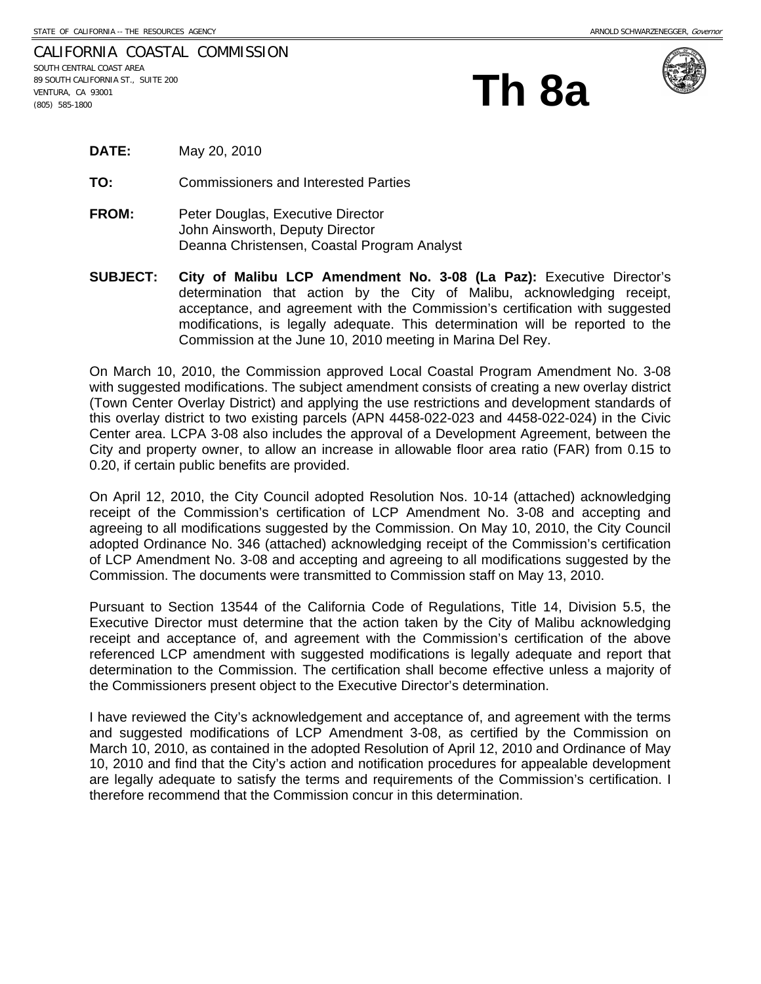| CALIFORNIA COASTAL COMMISSION               |  |
|---------------------------------------------|--|
| SOUTH CENTRAL COAST AREA                    |  |
| Th 8a<br>89 SOUTH CALIFORNIA ST., SUITE 200 |  |
| VENTURA, CA 93001                           |  |
| $(805)$ 585-1800                            |  |



| <b>DATE:</b> | May 20, 2010 |
|--------------|--------------|
|--------------|--------------|

**TO:** Commissioners and Interested Parties

- **FROM:** Peter Douglas, Executive Director John Ainsworth, Deputy Director Deanna Christensen, Coastal Program Analyst
- **SUBJECT: City of Malibu LCP Amendment No. 3-08 (La Paz):** Executive Director's determination that action by the City of Malibu, acknowledging receipt, acceptance, and agreement with the Commission's certification with suggested modifications, is legally adequate. This determination will be reported to the Commission at the June 10, 2010 meeting in Marina Del Rey.

On March 10, 2010, the Commission approved Local Coastal Program Amendment No. 3-08 with suggested modifications. The subject amendment consists of creating a new overlay district (Town Center Overlay District) and applying the use restrictions and development standards of this overlay district to two existing parcels (APN 4458-022-023 and 4458-022-024) in the Civic Center area. LCPA 3-08 also includes the approval of a Development Agreement, between the City and property owner, to allow an increase in allowable floor area ratio (FAR) from 0.15 to 0.20, if certain public benefits are provided.

On April 12, 2010, the City Council adopted Resolution Nos. 10-14 (attached) acknowledging receipt of the Commission's certification of LCP Amendment No. 3-08 and accepting and agreeing to all modifications suggested by the Commission. On May 10, 2010, the City Council adopted Ordinance No. 346 (attached) acknowledging receipt of the Commission's certification of LCP Amendment No. 3-08 and accepting and agreeing to all modifications suggested by the Commission. The documents were transmitted to Commission staff on May 13, 2010.

Pursuant to Section 13544 of the California Code of Regulations, Title 14, Division 5.5, the Executive Director must determine that the action taken by the City of Malibu acknowledging receipt and acceptance of, and agreement with the Commission's certification of the above referenced LCP amendment with suggested modifications is legally adequate and report that determination to the Commission. The certification shall become effective unless a majority of the Commissioners present object to the Executive Director's determination.

I have reviewed the City's acknowledgement and acceptance of, and agreement with the terms and suggested modifications of LCP Amendment 3-08, as certified by the Commission on March 10, 2010, as contained in the adopted Resolution of April 12, 2010 and Ordinance of May 10, 2010 and find that the City's action and notification procedures for appealable development are legally adequate to satisfy the terms and requirements of the Commission's certification. I therefore recommend that the Commission concur in this determination.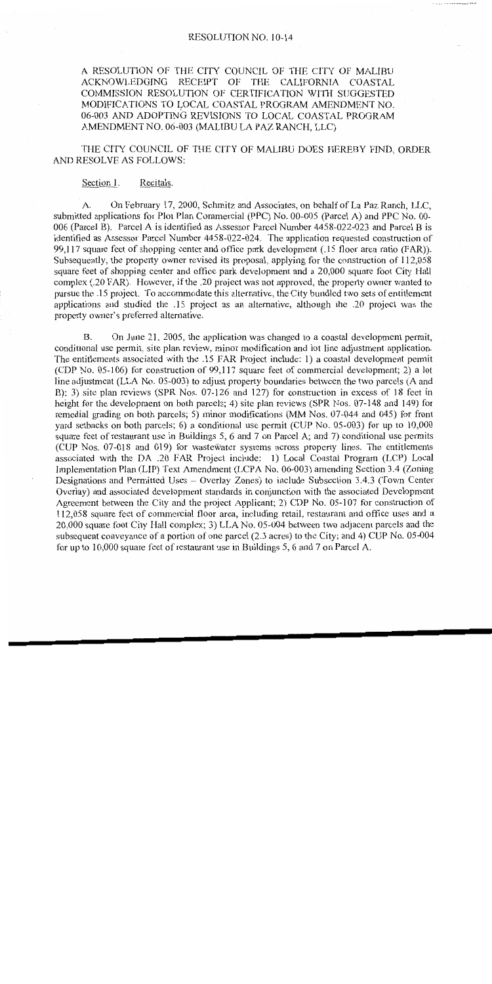A RESOLUTION OF THE CITY COUNCIL OF THE CITY OF MALIBU ACKNOWLEDGING RECEIPT OF THE CALIFORNIA COASTAL COMMISSION RESOLUTION OF CERTIFICATION WITH SUGGESTED MODIFICATIONS TO LOCAL COASTAL PROGRAM AMENDMENT NO. 06-003 AND ADOPTING REVISIONS TO LOCAL COASTAL PROGRAM AMENDMENT NO. 06-003 (MALIBU LA PAZ RANCH, LLC)

THE CITY COUNCIL OF THE CITY OF MALIBU DOES HEREBY FIND, ORDER AND RESOLVE AS FOLLOWS:

Section 1. Recitals.

On February 17, 2000, Schmitz and Associates, on behalf of La Paz Ranch, LLC,  $A<sub>1</sub>$ submitted applications for Plot Plan Commercial (PPC) No. 00-005 (Parcel A) and PPC No. 00-006 (Parcel B). Parcel A is identified as Assessor Parcel Number 4458-022-023 and Parcel B is identified as Assessor Parcel Number 4458-022-024. The application requested construction of 99,117 square feet of shopping center and office park development (.15 floor area ratio (FAR)). Subsequently, the property owner revised its proposal, applying for the construction of 112,058 square feet of shopping center and office park development and a 20,000 square foot City Hall complex (.20 FAR). However, if the .20 project was not approved, the property owner wanted to pursue the .15 project. To accommodate this alternative, the City bundled two sets of entitlement applications and studied the .15 project as an alternative, although the .20 project was the property owner's preferred alternative.

On June 21, 2005, the application was changed to a coastal development permit, **B.** conditional use permit, site plan review, minor modification and lot line adjustment application. The entitlements associated with the .15 FAR Project include: 1) a coastal development permit (CDP No. 05-106) for construction of 99,117 square feet of commercial development; 2) a lot line adjustment (LLA No. 05-003) to adjust property boundaries between the two parcels (A and B); 3) site plan reviews (SPR Nos. 07-126 and 127) for construction in excess of 18 feet in height for the development on both parcels; 4) site plan reviews (SPR Nos. 07-148 and 149) for remedial grading on both parcels; 5) minor modifications (MM Nos. 07-044 and 045) for front yard setbacks on both parcels; 6) a conditional use permit (CUP No. 05-003) for up to 10,000 square feet of restaurant use in Buildings 5, 6 and 7 on Parcel A; and 7) conditional use permits (CUP Nos. 07-018 and 019) for wastewater systems across property lines. The entitlements associated with the DA .20 FAR Project include: 1) Local Coastal Program (LCP) Local Implementation Plan (LIP) Text Amendment (LCPA No. 06-003) amending Section 3.4 (Zoning Designations and Permitted Uses - Overlay Zones) to include Subsection 3.4.3 (Town Center Overlay) and associated development standards in conjunction with the associated Development Agreement between the City and the project Applicant; 2) CDP No. 05-107 for construction of 112,058 square feet of commercial floor area, including retail, restaurant and office uses and a 20,000 square foot City Hall complex; 3) LLA No. 05-004 between two adjacent parcels and the subsequent conveyance of a portion of one parcel (2.3 acres) to the City; and 4) CUP No. 05-004 for up to 10,000 square feet of restaurant use in Buildings 5, 6 and 7 on Parcel A.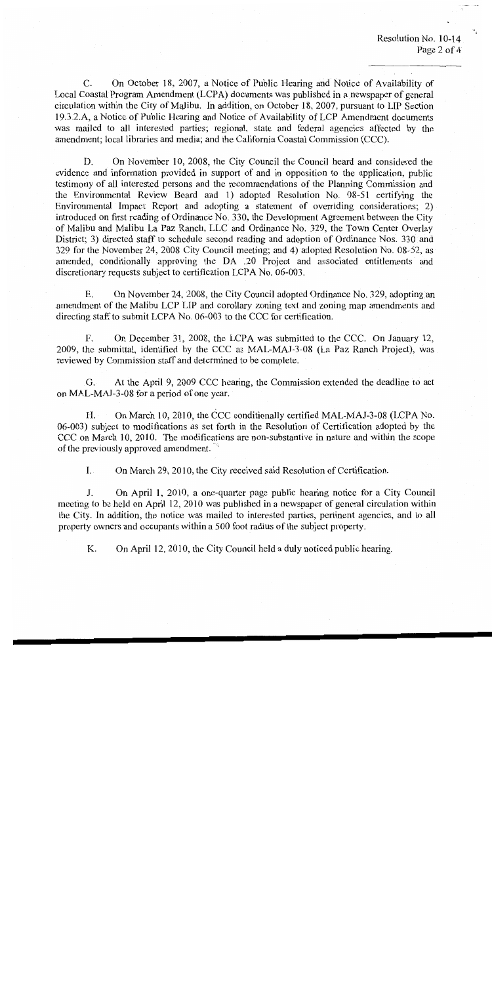$C_{\cdot}$ On October 18, 2007, a Notice of Public Hearing and Notice of Availability of Local Coastal Program Amendment (LCPA) documents was published in a newspaper of general circulation within the City of Malibu. In addition, on October 18, 2007, pursuant to LIP Section 19.3.2.A, a Notice of Public Hearing and Notice of Availability of LCP Amendment documents was mailed to all interested parties; regional, state and federal agencies affected by the amendment; local libraries and media; and the California Coastal Commission (CCC).

D. On November 10, 2008, the City Council the Council heard and considered the evidence and information provided in support of and in opposition to the application, public testimony of all interested persons and the recommendations of the Planning Commission and the Environmental Review Board and 1) adopted Resolution No. 08-51 certifying the Environmental Impact Report and adopting a statement of overriding considerations: 2) introduced on first reading of Ordinance No. 330, the Development Agreement between the City of Malibu and Malibu La Paz Ranch, LLC and Ordinance No. 329, the Town Center Overlay District; 3) directed staff to schedule second reading and adoption of Ordinance Nos. 330 and 329 for the November 24, 2008 City Council meeting; and 4) adopted Resolution No. 08-52, as amended, conditionally approving the DA .20 Project and associated entitlements and discretionary requests subject to certification LCPA No. 06-003.

Ε. On November 24, 2008, the City Council adopted Ordinance No. 329, adopting an amendment of the Malibu LCP LIP and corollary zoning text and zoning map amendments and directing staff to submit LCPA No. 06-003 to the CCC for certification.

On December 31, 2008, the LCPA was submitted to the CCC. On January 12,  $F_{\cdot}$ 2009, the submittal, identified by the CCC as MAL-MAJ-3-08 (La Paz Ranch Project), was reviewed by Commission staff and determined to be complete.

 $G<sub>c</sub>$ At the April 9, 2009 CCC hearing, the Commission extended the deadline to act on MAL-MAJ-3-08 for a period of one year.

H. On March 10, 2010, the CCC conditionally certified MAL-MAJ-3-08 (LCPA No. 06-003) subject to modifications as set forth in the Resolution of Certification adopted by the CCC on March 10, 2010. The modifications are non-substantive in nature and within the scope of the previously approved amendment.

 $\mathbf{I}$ . On March 29, 2010, the City received said Resolution of Certification.

On April 1, 2010, a one-quarter page public hearing notice for a City Council  $\mathbf{J}$ . meeting to be held on April 12, 2010 was published in a newspaper of general circulation within the City. In addition, the notice was mailed to interested parties, pertinent agencies, and to all property owners and occupants within a 500 foot radius of the subject property.

K. On April 12, 2010, the City Council held a duly noticed public hearing.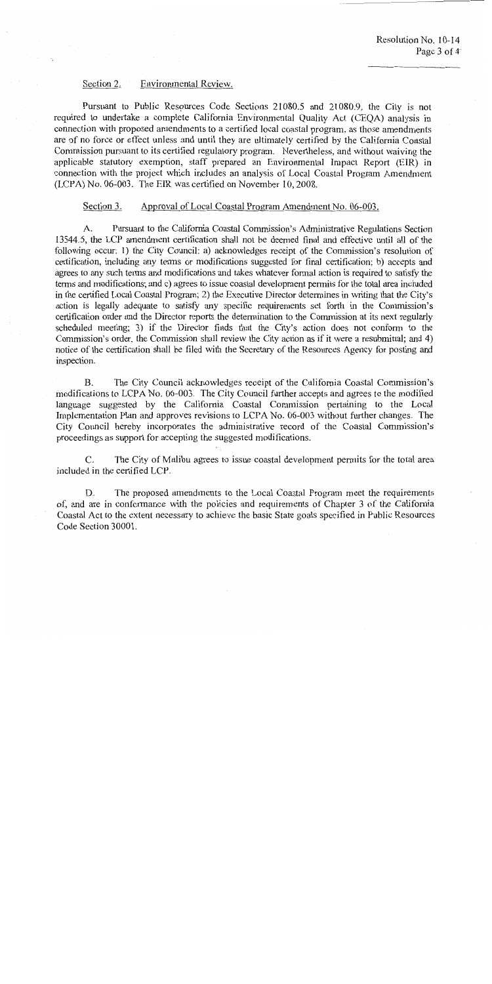### Section 2. Environmental Review.

Pursuant to Public Resources Code Sections 21080.5 and 21080.9, the City is not required to undertake a complete California Environmental Quality Act (CEQA) analysis in connection with proposed amendments to a certified local coastal program, as those amendments are of no force or effect unless and until they are ultimately certified by the California Coastal Commission pursuant to its certified regulatory program. Nevertheless, and without waiving the applicable statutory exemption, staff prepared an Environmental Impact Report (EIR) in connection with the project which includes an analysis of Local Coastal Program Amendment (LCPA) No. 06-003. The EIR was certified on November 10, 2008.

### Section 3. Approval of Local Coastal Program Amendment No. 06-003.

Pursuant to the California Coastal Commission's Administrative Regulations Section A. 13544.5, the LCP amendment certification shall not be deemed final and effective until all of the following occur: 1) the City Council: a) acknowledges receipt of the Commission's resolution of certification, including any terms or modifications suggested for final certification; b) accepts and agrees to any such terms and modifications and takes whatever formal action is required to satisfy the terms and modifications; and c) agrees to issue coastal development permits for the total area included in the certified Local Coastal Program; 2) the Executive Director determines in writing that the City's action is legally adequate to satisfy any specific requirements set forth in the Commission's certification order and the Director reports the determination to the Commission at its next regularly scheduled meeting; 3) if the Director finds that the City's action does not conform to the Commission's order, the Commission shall review the City action as if it were a resubmittal; and 4) notice of the certification shall be filed with the Secretary of the Resources Agency for posting and inspection.

 $\mathbf{B}$ . The City Council acknowledges receipt of the California Coastal Commission's modifications to LCPA No. 06-003. The City Council further accepts and agrees to the modified language suggested by the California Coastal Commission pertaining to the Local Implementation Plan and approves revisions to LCPA No. 06-003 without further changes. The City Council hereby incorporates the administrative record of the Coastal Commission's proceedings as support for accepting the suggested modifications.

C. The City of Malibu agrees to issue coastal development permits for the total area included in the certified LCP.

D. The proposed amendments to the Local Coastal Program meet the requirements of, and are in conformance with the policies and requirements of Chapter 3 of the California Coastal Act to the extent necessary to achieve the basic State goals specified in Public Resources Code Section 30001.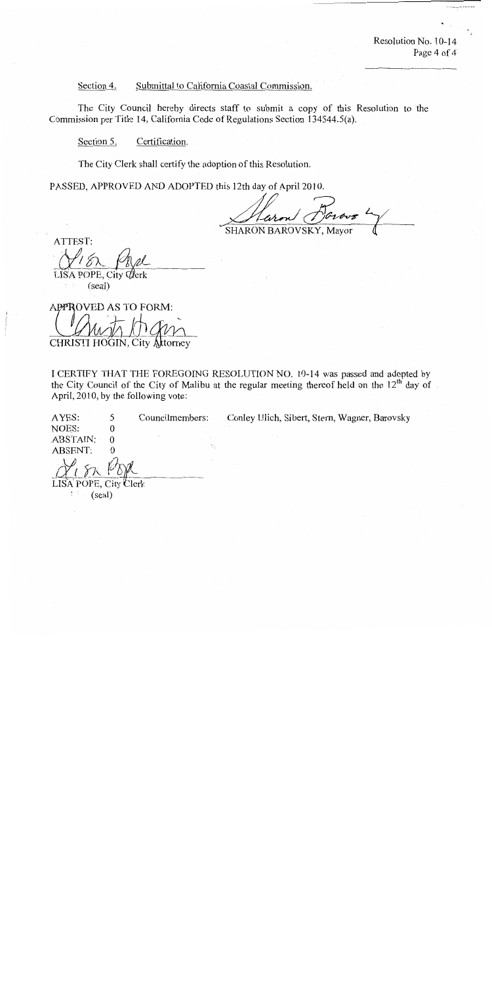Resolution No. 10-14 Page 4 of 4

## Submittal to California Coastal Commission. Section 4.

The City Council hereby directs staff to submit a copy of this Resolution to the Commission per Title 14, California Code of Regulations Section 134544.5(a).

Section 5. Certification.

The City Clerk shall certify the adoption of this Resolution.

PASSED, APPROVED AND ADOPTED this 12th day of April 2010.

SHARON BAROVSKY, Mayor

ATTEST: LISA POPE, City Q

(seal)

APPROVED AS TO FORM: CHRISTI HOGIN, City Alttorney

I CERTIFY THAT THE FOREGOING RESOLUTION NO. 10-14 was passed and adopted by the City Council of the City of Malibu at the regular meeting thereof held on the 12<sup>th</sup> day of April, 2010, by the following vote:

AYES: 5 Councilmembers: Conley Ulich, Sibert, Stern, Wagner, Barovsky NOES:  $\boldsymbol{0}$ ABSTAIN:  $\boldsymbol{0}$ **ABSENT:**  $\Omega$ 

Clerk LISA POPE. City

(seal)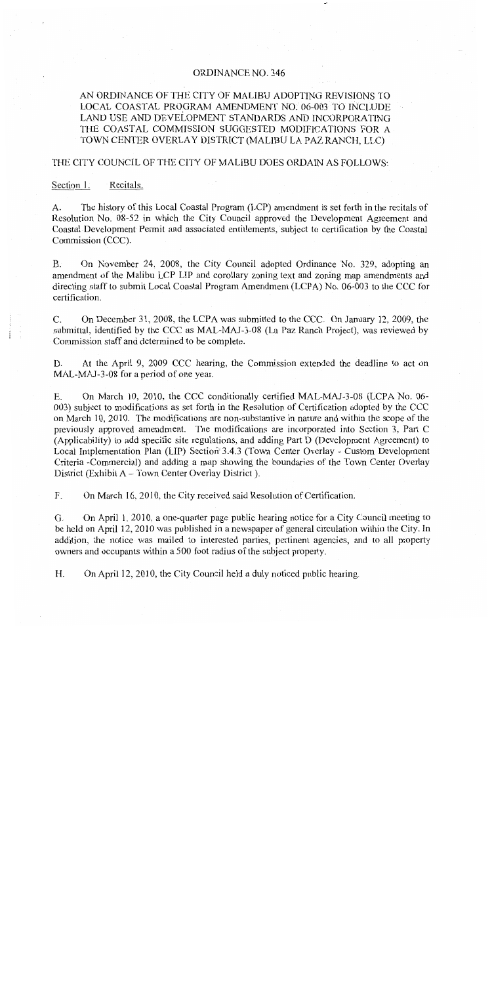# **ORDINANCE NO. 346**

# AN ORDINANCE OF THE CITY OF MALIBU ADOPTING REVISIONS TO LOCAL COASTAL PROGRAM AMENDMENT NO. 06-003 TO INCLUDE LAND USE AND DEVELOPMENT STANDARDS AND INCORPORATING THE COASTAL COMMISSION SUGGESTED MODIFICATIONS FOR A TOWN CENTER OVERLAY DISTRICT (MALIBU LA PAZ RANCH, LLC)

# THE CITY COUNCIL OF THE CITY OF MALIBU DOES ORDAIN AS FOLLOWS:

#### Section 1. Recitals.

The history of this Local Coastal Program (LCP) amendment is set forth in the recitals of  $A<sub>1</sub>$ Resolution No. 08-52 in which the City Council approved the Development Agreement and Coastal Development Permit and associated entitlements, subject to certification by the Coastal Commission (CCC).

 $B<sub>1</sub>$ On November 24, 2008, the City Council adopted Ordinance No. 329, adopting an amendment of the Malibu LCP LIP and corollary zoning text and zoning map amendments and directing staff to submit Local Coastal Program Amendment (LCPA) No. 06-003 to the CCC for certification.

C. On December 31, 2008, the LCPA was submitted to the CCC. On January 12, 2009, the submittal, identified by the CCC as MAL-MAJ-3-08 (La Paz Ranch Project), was reviewed by Commission staff and determined to be complete.

D. At the April 9, 2009 CCC hearing, the Commission extended the deadline to act on MAL-MAJ-3-08 for a period of one year.

E. On March 10, 2010, the CCC conditionally certified MAL-MAJ-3-08 (LCPA No. 06-003) subject to modifications as set forth in the Resolution of Certification adopted by the CCC on March 10, 2010. The modifications are non-substantive in nature and within the scope of the previously approved amendment. The modifications are incorporated into Section 3, Part C (Applicability) to add specific site regulations, and adding Part D (Development Agreement) to Local Implementation Plan (LIP) Section 3.4.3 (Town Center Overlay - Custom Development Criteria -Commercial) and adding a map showing the boundaries of the Town Center Overlay District (Exhibit A – Town Center Overlay District).

F. On March 16, 2010, the City received said Resolution of Certification.

On April 1, 2010, a one-quarter page public hearing notice for a City Council meeting to G. be held on April 12, 2010 was published in a newspaper of general circulation within the City. In addition, the notice was mailed to interested parties, pertinent agencies, and to all property owners and occupants within a 500 foot radius of the subject property.

H. On April 12, 2010, the City Council held a duly noticed public hearing.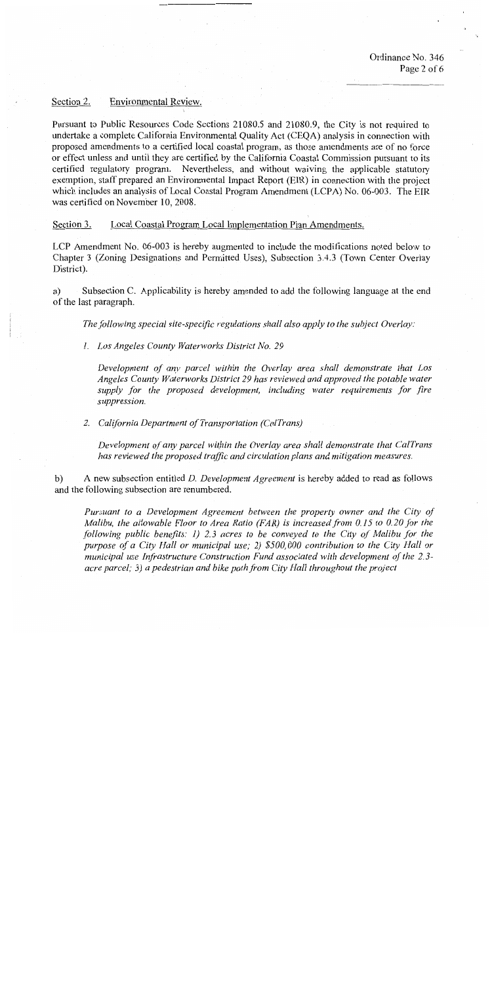# Environmental Review. Section 2.

Pursuant to Public Resources Code Sections 21080.5 and 21080.9, the City is not required to undertake a complete California Environmental Quality Act (CEQA) analysis in connection with proposed amendments to a certified local coastal program, as those amendments are of no force or effect unless and until they are certified by the California Coastal Commission pursuant to its certified regulatory program. Nevertheless, and without waiving the applicable statutory exemption, staff prepared an Environmental Impact Report (EIR) in connection with the project which includes an analysis of Local Coastal Program Amendment (LCPA) No. 06-003. The EIR was certified on November 10, 2008.

#### Section 3. Local Coastal Program Local Implementation Plan Amendments.

LCP Amendment No. 06-003 is hereby augmented to include the modifications noted below to Chapter 3 (Zoning Designations and Permitted Uses), Subsection 3.4.3 (Town Center Overlay District).

Subsection C. Applicability is hereby amended to add the following language at the end a) of the last paragraph.

The following special site-specific regulations shall also apply to the subject Overlay:

1. Los Angeles County Waterworks District No. 29

Development of any parcel within the Overlay area shall demonstrate that Los Angeles County Waterworks District 29 has reviewed and approved the potable water supply for the proposed development, including water requirements for fire suppression.

2. California Department of Transportation (CalTrans)

Development of any parcel within the Overlay area shall demonstrate that CalTrans has reviewed the proposed traffic and circulation plans and mitigation measures.

 $b)$ A new subsection entitled *D. Development Agreement* is hereby added to read as follows and the following subsection are renumbered.

Pursuant to a Development Agreement between the property owner and the City of Malibu, the allowable Floor to Area Ratio (FAR) is increased from 0.15 to 0.20 for the following public benefits: 1) 2.3 acres to be conveyed to the City of Malibu for the purpose of a City Hall or municipal use; 2) \$500,000 contribution to the City Hall or municipal use Infrastructure Construction Fund associated with development of the 2.3acre parcel; 3) a pedestrian and bike path from City Hall throughout the project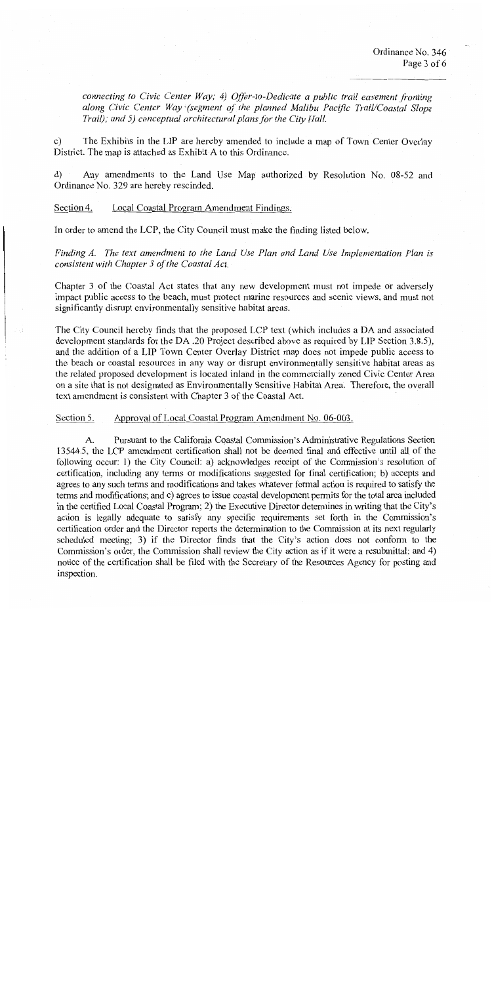connecting to Civic Center Way; 4) Offer-to-Dedicate a public trail easement fronting along Civic Center Way (segment of the planned Malibu Pacific Trail/Coastal Slope Trail); and 5) conceptual architectural plans for the City Hall.

 $\mathbf{c}$ ) The Exhibits in the LIP are hereby amended to include a map of Town Center Overlay District. The map is attached as Exhibit A to this Ordinance.

Any amendments to the Land Use Map authorized by Resolution No. 08-52 and  $\rm d$ Ordinance No. 329 are hereby rescinded.

### Section 4. Local Coastal Program Amendment Findings.

In order to amend the LCP, the City Council must make the finding listed below.

Finding A. The text amendment to the Land Use Plan and Land Use Implementation Plan is consistent with Chapter 3 of the Coastal Act.

Chapter 3 of the Coastal Act states that any new development must not impede or adversely impact public access to the beach, must protect marine resources and scenic views, and must not significantly disrupt environmentally sensitive habitat areas.

The City Council hereby finds that the proposed LCP text (which includes a DA and associated development standards for the DA .20 Project described above as required by LIP Section 3.8.5), and the addition of a LIP Town Center Overlay District map does not impede public access to the beach or coastal resources in any way or disrupt environmentally sensitive habitat areas as the related proposed development is located inland in the commercially zoned Civic Center Area on a site that is not designated as Environmentally Sensitive Habitat Area. Therefore, the overall text amendment is consistent with Chapter 3 of the Coastal Act.

Section 5. Approval of Local Coastal Program Amendment No. 06-003.

A. Pursuant to the California Coastal Commission's Administrative Regulations Section 13544.5, the LCP amendment certification shall not be deemed final and effective until all of the following occur: 1) the City Council: a) acknowledges receipt of the Commission's resolution of certification, including any terms or modifications suggested for final certification; b) accepts and agrees to any such terms and modifications and takes whatever formal action is required to satisfy the terms and modifications; and c) agrees to issue coastal development permits for the total area included in the certified Local Coastal Program; 2) the Executive Director determines in writing that the City's action is legally adequate to satisfy any specific requirements set forth in the Commission's certification order and the Director reports the determination to the Commission at its next regularly scheduled meeting; 3) if the Director finds that the City's action does not conform to the Commission's order, the Commission shall review the City action as if it were a resubmittal; and 4) notice of the certification shall be filed with the Secretary of the Resources Agency for posting and inspection.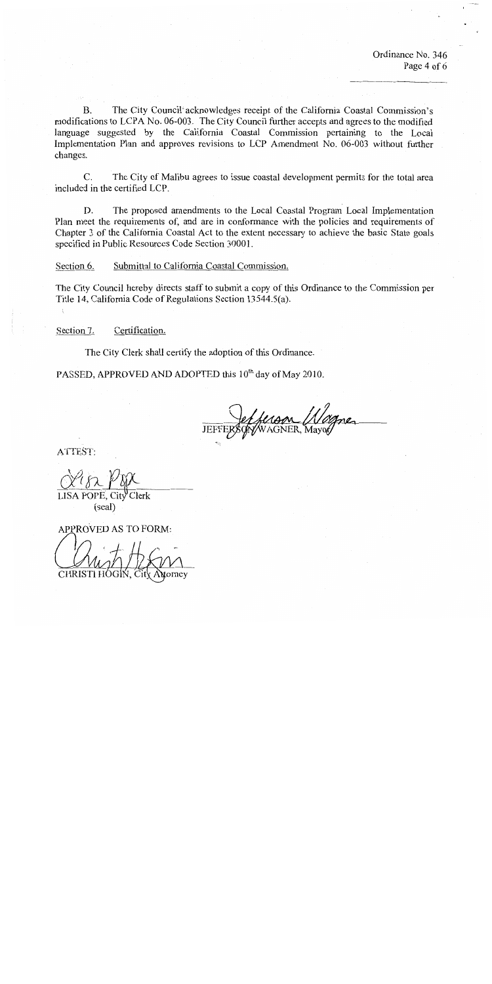Ordinance No. 346 Page 4 of 6

**B.** The City Council acknowledges receipt of the California Coastal Commission's modifications to LCPA No. 06-003. The City Council further accepts and agrees to the modified language suggested by the California Coastal Commission pertaining to the Local Implementation Plan and approves revisions to LCP Amendment No. 06-003 without further changes.

 $C_{\cdot}$ The City of Malibu agrees to issue coastal development permits for the total area included in the certified LCP.

D. The proposed amendments to the Local Coastal Program Local Implementation Plan meet the requirements of, and are in conformance with the policies and requirements of Chapter 3 of the California Coastal Act to the extent necessary to achieve the basic State goals specified in Public Resources Code Section 30001.

Section 6. Submittal to California Coastal Commission.

The City Council hereby directs staff to submit a copy of this Ordinance to the Commission per Title 14, California Code of Regulations Section 13544.5(a).

Certification. Section 7.

The City Clerk shall certify the adoption of this Ordinance.

PASSED, APPROVED AND ADOPTED this 10<sup>th</sup> day of May 2010.

ATTEST:

LISA POPE, City Clerk (seal)

APPROVED AS TO FORM:

CHRISTI HÓ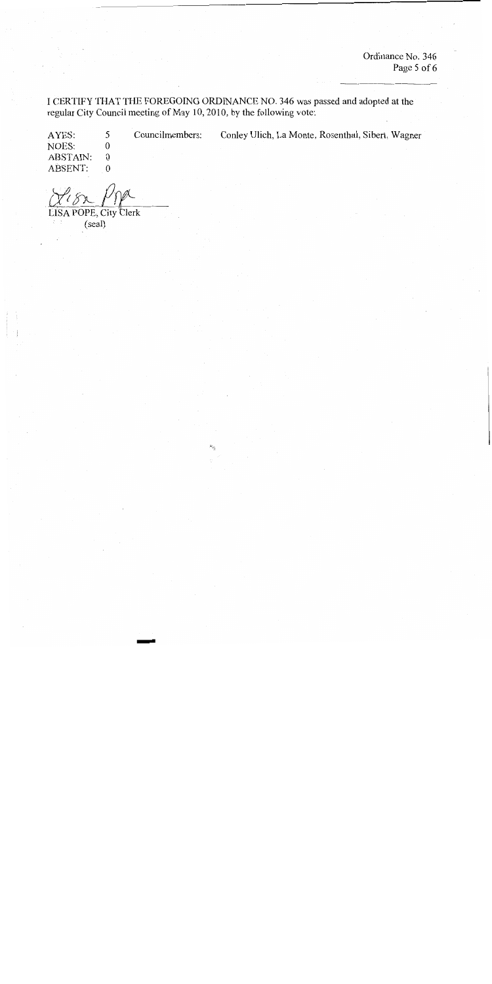Ordinance No. 346 Page 5 of 6

I CERTIFY THAT THE FOREGOING ORDINANCE NO. 346 was passed and adopted at the regular City Council meeting of May 10, 2010, by the following vote:

> Councilmembers: Conley Ulich, La Monte, Rosenthal, Sibert, Wagner

5 AYES: NOES:  $\boldsymbol{0}$ ABSTAIN:  $\overline{0}$ ABSENT:  $\boldsymbol{0}$ 

LISA POPE, City Clerk

 $(scal)$